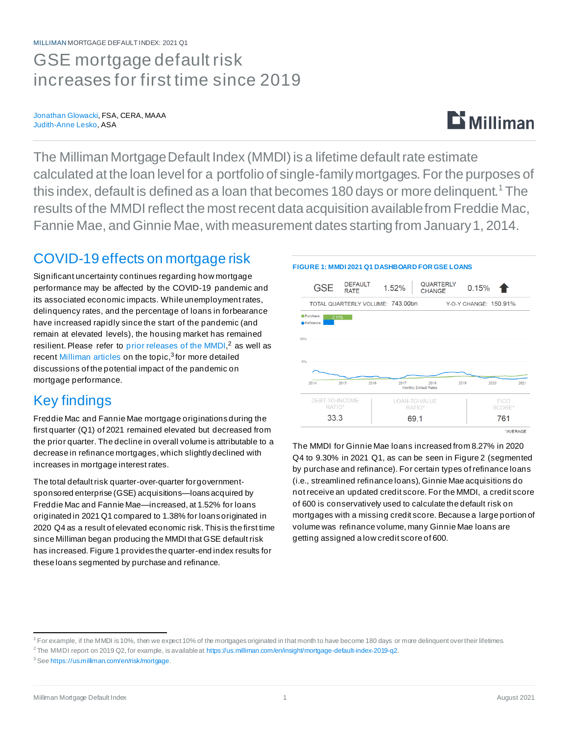#### MILLIMAN MORTGAGE DEFAULT INDEX: 2021 Q1

## GSE mortgage default risk increases for first time since 2019

#### Jonathan Glowacki, FSA, CERA, MAAA Judith-Anne Lesko, ASA

# $E$  Milliman

The Milliman Mortgage Default Index (MMDI) is a lifetime default rate estimate calculated at the loan level for a portfolio of single-family mortgages. For the purposes of this index, default is defined as a loan that becomes 180 days or more delinguent.<sup>1</sup> The results of the MMDI reflect the most recent data acquisition available from Freddie Mac, Fannie Mae, and Ginnie Mae, with measurement dates starting from January 1, 2014.

### COVID-19 effects on mortgage risk

Significant uncertainty continues regarding how mortgage performance may be affected by the COVID-19 pandemic and its associated economic impacts. While unemployment rates, delinquency rates, and the percentage of loans in forbearance have increased rapidly since the start of the pandemic (and remain at elevated levels), the housing market has remained resilient. Please refer to [prior releases of the MMDI,](https://us.milliman.com/en/insight/mortgage-default-index-2019-q2) $^2$  as well as recent [Milliman articles](https://us.milliman.com/en/risk/mortgage) on the topic, $3$  for more detailed discussions of the potential impact of the pandemic on mortgage performance.

### Key findings

Freddie Mac and Fannie Mae mortgage originations during the first quarter (Q1) of 2021 remained elevated but decreased from the prior quarter. The decline in overall volume is attributable to a decrease in refinance mortgages, which slightly declined with increases in mortgage interest rates.

The total default risk quarter-over-quarter for governmentsponsored enterprise (GSE) acquisitions—loans acquired by Freddie Mac and Fannie Mae—increased, at 1.52% for loans originated in 2021 Q1 compared to 1.38% for loans originated in 2020 Q4 as a result of elevated economic risk. This is the first time since Milliman began producing the MMDI that GSE default risk has increased. Figure 1 provides the quarter-end index results for these loans segmented by purchase and refinance.

#### **FIGURE 1: MMDI 2021 Q1 DASHBOARD FOR GSE LOANS**



The MMDI for Ginnie Mae loans increased from 8.27% in 2020 Q4 to 9.30% in 2021 Q1, as can be seen in Figure 2 (segmented by purchase and refinance). For certain types of refinance loans (i.e., streamlined refinance loans), Ginnie Mae acquisitions do not receive an updated credit score. For the MMDI, a credit score of 600 is conservatively used to calculate the default risk on mortgages with a missing credit score. Because a large portion of volume was refinance volume, many Ginnie Mae loans are getting assigned a low credit score of 600.

<sup>&</sup>lt;sup>1</sup> For example, if the MMDI is 10%, then we expect 10% of the mortgages originated in that month to have become 180 days or more delinquent over their lifetimes.

<sup>2</sup> The MMDI report on 2019 Q2, for example, is available [at https://us.milliman.com/en/insight/mortgage-default-index-2019-q2](https://us.milliman.com/en/insight/mortgage-default-index-2019-q2).

<sup>&</sup>lt;sup>3</sup> See<https://us.milliman.com/en/risk/mortgage>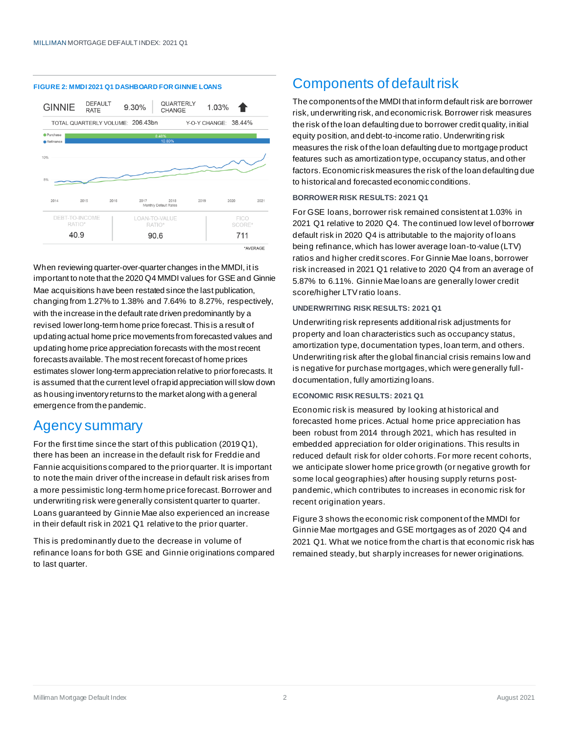

When reviewing quarter-over-quarter changes in the MMDI, it is important to note that the 2020 Q4 MMDI values for GSE and Ginnie Mae acquisitions have been restated since the last publication, changing from 1.27% to 1.38% and 7.64% to 8.27%, respectively, with the increase in the default rate driven predominantly by a revised lower long-term home price forecast. This is a result of updating actual home price movements from forecasted values and updating home price appreciation forecasts with the most recent forecasts available. The most recent forecast of home prices estimates slower long-term appreciation relative to prior forecasts. It is assumed that the current level of rapid appreciation will slow down as housing inventory returns to the market along with a general emergence from the pandemic.

### Agency summary

For the first time since the start of this publication (2019 Q1), there has been an increase in the default risk for Freddie and Fannie acquisitions compared to the prior quarter. It is important to note the main driver of the increase in default risk arises from a more pessimistic long-term home price forecast. Borrower and underwriting risk were generally consistent quarter to quarter. Loans guaranteed by Ginnie Mae also experienced an increase in their default risk in 2021 Q1 relative to the prior quarter.

This is predominantly due to the decrease in volume of refinance loans for both GSE and Ginnie originations compared to last quarter.

## Components of default risk

The components of the MMDI that inform default risk are borrower risk, underwriting risk, and economic risk. Borrower risk measures the risk of the loan defaulting due to borrower credit quality, initial equity position, and debt-to-income ratio. Underwriting risk measures the risk of the loan defaulting due to mortgage product features such as amortization type, occupancy status, and other factors. Economic risk measures the risk of the loan defaulting due to historical and forecasted economic conditions.

### **BORROWER RISK RESULTS: 2021 Q1**

For GSE loans, borrower risk remained consistent at 1.03% in 2021 Q1 relative to 2020 Q4. The continued low level of borrower default risk in 2020 Q4 is attributable to the majority of loans being refinance, which has lower average loan-to-value (LTV) ratios and higher credit scores. For Ginnie Mae loans, borrower risk increased in 2021 Q1 relative to 2020 Q4 from an average of 5.87% to 6.11%. Ginnie Mae loans are generally lower credit score/higher LTV ratio loans.

#### **UNDERWRITING RISK RESULTS: 2021 Q1**

Underwriting risk represents additional risk adjustments for property and loan characteristics such as occupancy status, amortization type, documentation types, loan term, and others. Underwriting risk after the global financial crisis remains low and is negative for purchase mortgages, which were generally fulldocumentation, fully amortizing loans.

### **ECONOMIC RISK RESULTS: 2021 Q1**

Economic risk is measured by looking at historical and forecasted home prices. Actual home price appreciation has been robust from 2014 through 2021, which has resulted in embedded appreciation for older originations. This results in reduced default risk for older cohorts. For more recent cohorts, we anticipate slower home price growth (or negative growth for some local geographies) after housing supply returns postpandemic, which contributes to increases in economic risk for recent origination years.

Figure 3 shows the economic risk component of the MMDI for Ginnie Mae mortgages and GSE mortgages as of 2020 Q4 and 2021 Q1. What we notice from the chart is that economic risk has remained steady, but sharply increases for newer originations.